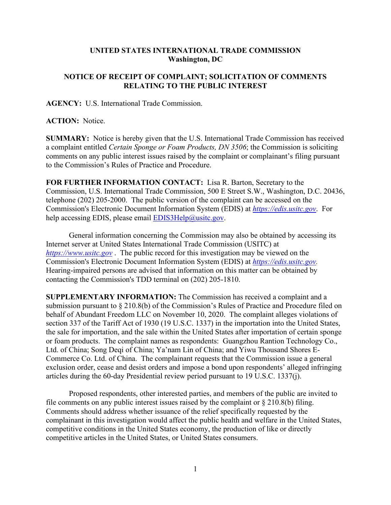## **UNITED STATES INTERNATIONAL TRADE COMMISSION Washington, DC**

## **NOTICE OF RECEIPT OF COMPLAINT; SOLICITATION OF COMMENTS RELATING TO THE PUBLIC INTEREST**

**AGENCY:** U.S. International Trade Commission.

## **ACTION:** Notice.

**SUMMARY:** Notice is hereby given that the U.S. International Trade Commission has received a complaint entitled *Certain Sponge or Foam Products, DN 3506*; the Commission is soliciting comments on any public interest issues raised by the complaint or complainant's filing pursuant to the Commission's Rules of Practice and Procedure.

**FOR FURTHER INFORMATION CONTACT:** Lisa R. Barton, Secretary to the Commission, U.S. International Trade Commission, 500 E Street S.W., Washington, D.C. 20436, telephone (202) 205-2000. The public version of the complaint can be accessed on the Commission's Electronic Document Information System (EDIS) at *[https://edis.usitc.gov](https://edis.usitc.gov/)*. For help accessing EDIS, please email [EDIS3Help@usitc.gov.](mailto:EDIS3Help@usitc.gov)

General information concerning the Commission may also be obtained by accessing its Internet server at United States International Trade Commission (USITC) at *[https://www.usitc.gov](https://www.usitc.gov/)* . The public record for this investigation may be viewed on the Commission's Electronic Document Information System (EDIS) at *[https://edis.usitc.gov.](https://edis.usitc.gov/)* Hearing-impaired persons are advised that information on this matter can be obtained by contacting the Commission's TDD terminal on (202) 205-1810.

**SUPPLEMENTARY INFORMATION:** The Commission has received a complaint and a submission pursuant to § 210.8(b) of the Commission's Rules of Practice and Procedure filed on behalf of Abundant Freedom LLC on November 10, 2020. The complaint alleges violations of section 337 of the Tariff Act of 1930 (19 U.S.C. 1337) in the importation into the United States, the sale for importation, and the sale within the United States after importation of certain sponge or foam products. The complaint names as respondents: Guangzhou Rantion Technology Co., Ltd. of China; Song Deqi of China; Ya'nam Lin of China; and Yiwu Thousand Shores E-Commerce Co. Ltd. of China. The complainant requests that the Commission issue a general exclusion order, cease and desist orders and impose a bond upon respondents' alleged infringing articles during the 60-day Presidential review period pursuant to 19 U.S.C. 1337(j).

Proposed respondents, other interested parties, and members of the public are invited to file comments on any public interest issues raised by the complaint or  $\S 210.8(b)$  filing. Comments should address whether issuance of the relief specifically requested by the complainant in this investigation would affect the public health and welfare in the United States, competitive conditions in the United States economy, the production of like or directly competitive articles in the United States, or United States consumers.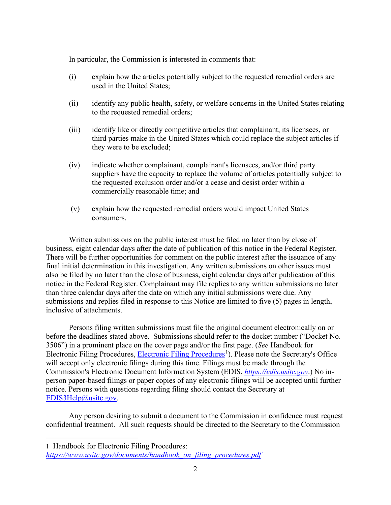In particular, the Commission is interested in comments that:

- (i) explain how the articles potentially subject to the requested remedial orders are used in the United States;
- (ii) identify any public health, safety, or welfare concerns in the United States relating to the requested remedial orders;
- (iii) identify like or directly competitive articles that complainant, its licensees, or third parties make in the United States which could replace the subject articles if they were to be excluded;
- (iv) indicate whether complainant, complainant's licensees, and/or third party suppliers have the capacity to replace the volume of articles potentially subject to the requested exclusion order and/or a cease and desist order within a commercially reasonable time; and
- (v) explain how the requested remedial orders would impact United States consumers.

Written submissions on the public interest must be filed no later than by close of business, eight calendar days after the date of publication of this notice in the Federal Register. There will be further opportunities for comment on the public interest after the issuance of any final initial determination in this investigation. Any written submissions on other issues must also be filed by no later than the close of business, eight calendar days after publication of this notice in the Federal Register. Complainant may file replies to any written submissions no later than three calendar days after the date on which any initial submissions were due. Any submissions and replies filed in response to this Notice are limited to five (5) pages in length, inclusive of attachments.

Persons filing written submissions must file the original document electronically on or before the deadlines stated above. Submissions should refer to the docket number ("Docket No. 3506") in a prominent place on the cover page and/or the first page. (*See* Handbook for Electronic Filing Procedures, [Electronic Filing Procedures](https://www.usitc.gov/documents/handbook_on_filing_procedures.pdf)<sup>[1](#page-1-0)</sup>). Please note the Secretary's Office will accept only electronic filings during this time. Filings must be made through the Commission's Electronic Document Information System (EDIS, *[https://edis.usitc.gov](https://edis.usitc.gov/)*.) No inperson paper-based filings or paper copies of any electronic filings will be accepted until further notice. Persons with questions regarding filing should contact the Secretary at [EDIS3Help@usitc.gov.](mailto:EDIS3Help@usitc.gov)

Any person desiring to submit a document to the Commission in confidence must request confidential treatment. All such requests should be directed to the Secretary to the Commission

<span id="page-1-0"></span>1 Handbook for Electronic Filing Procedures:

*[https://www.usitc.gov/documents/handbook\\_on\\_filing\\_procedures.pdf](https://www.usitc.gov/documents/handbook_on_filing_procedures.pdf)*